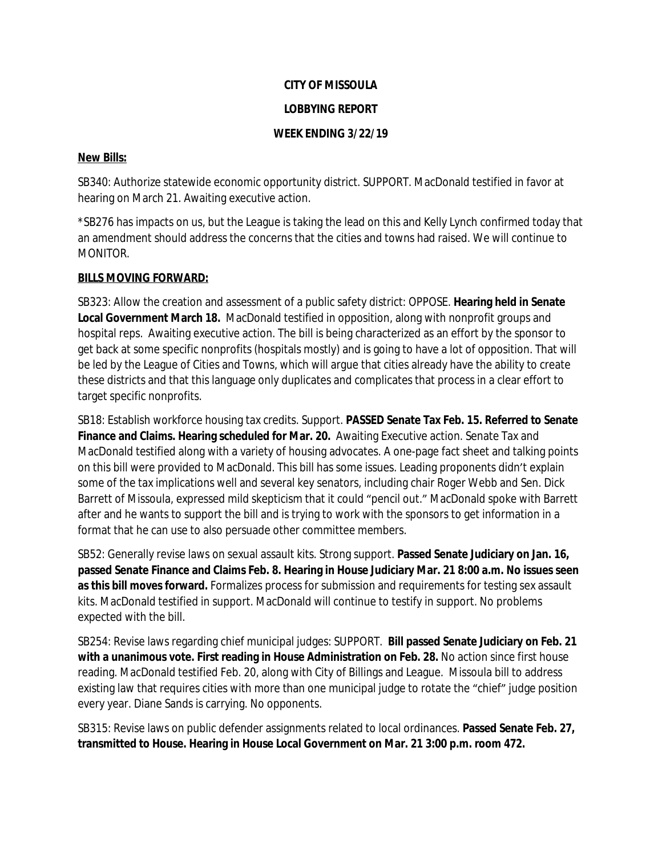# **CITY OF MISSOULA**

## **LOBBYING REPORT**

## **WEEK ENDING 3/22/19**

#### **New Bills:**

SB340: Authorize statewide economic opportunity district. SUPPORT. MacDonald testified in favor at hearing on March 21. Awaiting executive action.

\*SB276 has impacts on us, but the League is taking the lead on this and Kelly Lynch confirmed today that an amendment should address the concerns that the cities and towns had raised. We will continue to MONITOR.

## **BILLS MOVING FORWARD:**

SB323: Allow the creation and assessment of a public safety district: OPPOSE. **Hearing held in Senate Local Government March 18.** MacDonald testified in opposition, along with nonprofit groups and hospital reps. Awaiting executive action. The bill is being characterized as an effort by the sponsor to get back at some specific nonprofits (hospitals mostly) and is going to have a lot of opposition. That will be led by the League of Cities and Towns, which will argue that cities already have the ability to create these districts and that this language only duplicates and complicates that process in a clear effort to target specific nonprofits.

SB18: Establish workforce housing tax credits. Support. **PASSED Senate Tax Feb. 15. Referred to Senate Finance and Claims. Hearing scheduled for Mar. 20.** Awaiting Executive action. Senate Tax and MacDonald testified along with a variety of housing advocates. A one-page fact sheet and talking points on this bill were provided to MacDonald. This bill has some issues. Leading proponents didn't explain some of the tax implications well and several key senators, including chair Roger Webb and Sen. Dick Barrett of Missoula, expressed mild skepticism that it could "pencil out." MacDonald spoke with Barrett after and he wants to support the bill and is trying to work with the sponsors to get information in a format that he can use to also persuade other committee members.

SB52: Generally revise laws on sexual assault kits. Strong support. **Passed Senate Judiciary on Jan. 16, passed Senate Finance and Claims Feb. 8. Hearing in House Judiciary Mar. 21 8:00 a.m. No issues seen as this bill moves forward.** Formalizes process for submission and requirements for testing sex assault kits. MacDonald testified in support. MacDonald will continue to testify in support. No problems expected with the bill.

SB254: Revise laws regarding chief municipal judges: SUPPORT. **Bill passed Senate Judiciary on Feb. 21 with a unanimous vote. First reading in House Administration on Feb. 28.** No action since first house reading. MacDonald testified Feb. 20, along with City of Billings and League. Missoula bill to address existing law that requires cities with more than one municipal judge to rotate the "chief" judge position every year. Diane Sands is carrying. No opponents.

SB315: Revise laws on public defender assignments related to local ordinances. **Passed Senate Feb. 27, transmitted to House. Hearing in House Local Government on Mar. 21 3:00 p.m. room 472.**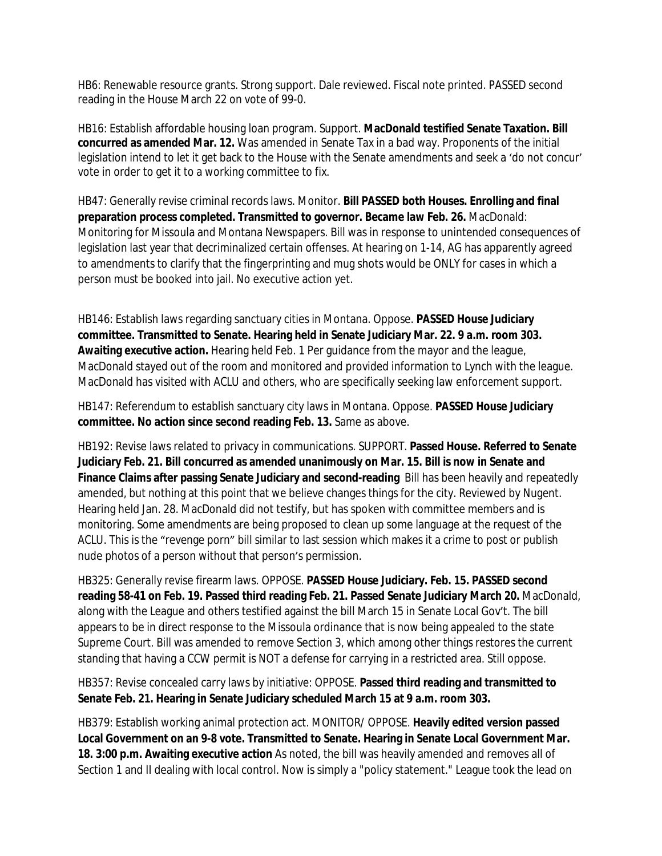HB6: Renewable resource grants. Strong support. Dale reviewed. Fiscal note printed. PASSED second reading in the House March 22 on vote of 99-0.

HB16: Establish affordable housing loan program. Support. **MacDonald testified Senate Taxation. Bill concurred as amended Mar. 12.** Was amended in Senate Tax in a bad way. Proponents of the initial legislation intend to let it get back to the House with the Senate amendments and seek a 'do not concur' vote in order to get it to a working committee to fix.

HB47: Generally revise criminal records laws. Monitor. **Bill PASSED both Houses. Enrolling and final preparation process completed. Transmitted to governor. Became law Feb. 26.** MacDonald: Monitoring for Missoula and Montana Newspapers. Bill was in response to unintended consequences of legislation last year that decriminalized certain offenses. At hearing on 1-14, AG has apparently agreed to amendments to clarify that the fingerprinting and mug shots would be ONLY for cases in which a person must be booked into jail. No executive action yet.

HB146: Establish laws regarding sanctuary cities in Montana. Oppose. **PASSED House Judiciary committee. Transmitted to Senate. Hearing held in Senate Judiciary Mar. 22. 9 a.m. room 303. Awaiting executive action.** Hearing held Feb. 1 Per guidance from the mayor and the league, MacDonald stayed out of the room and monitored and provided information to Lynch with the league. MacDonald has visited with ACLU and others, who are specifically seeking law enforcement support.

HB147: Referendum to establish sanctuary city laws in Montana. Oppose. **PASSED House Judiciary committee. No action since second reading Feb. 13.** Same as above.

HB192: Revise laws related to privacy in communications. SUPPORT. **Passed House. Referred to Senate Judiciary Feb. 21. Bill concurred as amended unanimously on Mar. 15. Bill is now in Senate and Finance Claims after passing Senate Judiciary and second-reading** Bill has been heavily and repeatedly amended, but nothing at this point that we believe changes things for the city. Reviewed by Nugent. Hearing held Jan. 28. MacDonald did not testify, but has spoken with committee members and is monitoring. Some amendments are being proposed to clean up some language at the request of the ACLU. This is the "revenge porn" bill similar to last session which makes it a crime to post or publish nude photos of a person without that person's permission.

HB325: Generally revise firearm laws. OPPOSE. **PASSED House Judiciary. Feb. 15. PASSED second reading 58-41 on Feb. 19. Passed third reading Feb. 21. Passed Senate Judiciary March 20.** MacDonald, along with the League and others testified against the bill March 15 in Senate Local Gov't. The bill appears to be in direct response to the Missoula ordinance that is now being appealed to the state Supreme Court. Bill was amended to remove Section 3, which among other things restores the current standing that having a CCW permit is NOT a defense for carrying in a restricted area. Still oppose.

HB357: Revise concealed carry laws by initiative: OPPOSE. **Passed third reading and transmitted to Senate Feb. 21. Hearing in Senate Judiciary scheduled March 15 at 9 a.m. room 303.**

HB379: Establish working animal protection act. MONITOR/ OPPOSE. **Heavily edited version passed Local Government on an 9-8 vote. Transmitted to Senate. Hearing in Senate Local Government Mar. 18. 3:00 p.m. Awaiting executive action** As noted, the bill was heavily amended and removes all of Section 1 and II dealing with local control. Now is simply a "policy statement." League took the lead on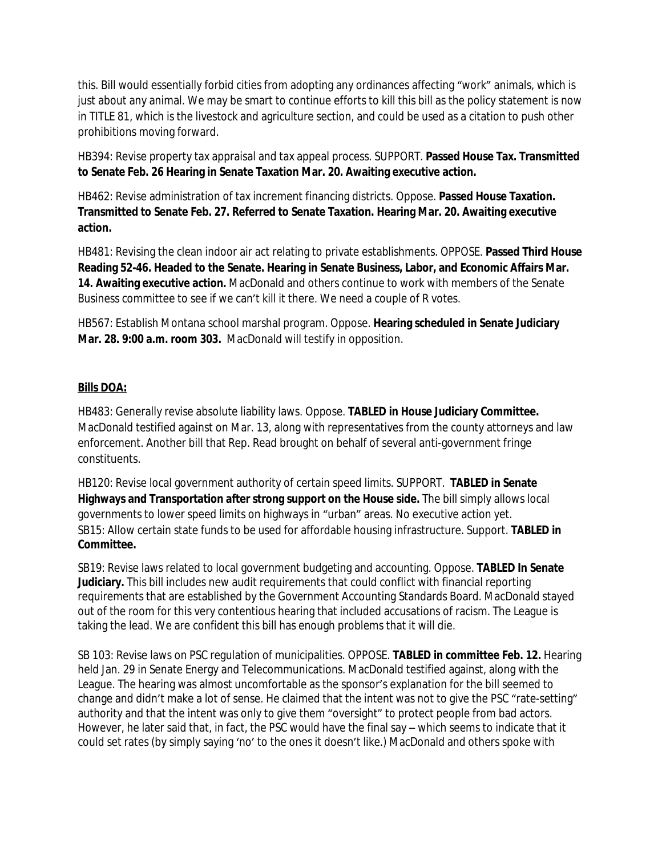this. Bill would essentially forbid cities from adopting any ordinances affecting "work" animals, which is just about any animal. We may be smart to continue efforts to kill this bill as the policy statement is now in TITLE 81, which is the livestock and agriculture section, and could be used as a citation to push other prohibitions moving forward.

HB394: Revise property tax appraisal and tax appeal process. SUPPORT. **Passed House Tax. Transmitted to Senate Feb. 26 Hearing in Senate Taxation Mar. 20. Awaiting executive action.**

HB462: Revise administration of tax increment financing districts. Oppose. **Passed House Taxation. Transmitted to Senate Feb. 27. Referred to Senate Taxation. Hearing Mar. 20. Awaiting executive action.**

HB481: Revising the clean indoor air act relating to private establishments. OPPOSE. **Passed Third House Reading 52-46. Headed to the Senate. Hearing in Senate Business, Labor, and Economic Affairs Mar. 14. Awaiting executive action.** MacDonald and others continue to work with members of the Senate Business committee to see if we can't kill it there. We need a couple of R votes.

HB567: Establish Montana school marshal program. Oppose. **Hearing scheduled in Senate Judiciary Mar. 28. 9:00 a.m. room 303.** MacDonald will testify in opposition.

# **Bills DOA:**

HB483: Generally revise absolute liability laws. Oppose. **TABLED in House Judiciary Committee.**  MacDonald testified against on Mar. 13, along with representatives from the county attorneys and law enforcement. Another bill that Rep. Read brought on behalf of several anti-government fringe constituents.

HB120: Revise local government authority of certain speed limits. SUPPORT. **TABLED in Senate Highways and Transportation after strong support on the House side.** The bill simply allows local governments to lower speed limits on highways in "urban" areas. No executive action yet. SB15: Allow certain state funds to be used for affordable housing infrastructure. Support. **TABLED in Committee.**

SB19: Revise laws related to local government budgeting and accounting. Oppose. **TABLED In Senate Judiciary.** This bill includes new audit requirements that could conflict with financial reporting requirements that are established by the Government Accounting Standards Board. MacDonald stayed out of the room for this very contentious hearing that included accusations of racism. The League is taking the lead. We are confident this bill has enough problems that it will die.

SB 103: Revise laws on PSC regulation of municipalities. OPPOSE. **TABLED in committee Feb. 12.** Hearing held Jan. 29 in Senate Energy and Telecommunications. MacDonald testified against, along with the League. The hearing was almost uncomfortable as the sponsor's explanation for the bill seemed to change and didn't make a lot of sense. He claimed that the intent was not to give the PSC "rate-setting" authority and that the intent was only to give them "oversight" to protect people from bad actors. However, he later said that, in fact, the PSC would have the final say – which seems to indicate that it could set rates (by simply saying 'no' to the ones it doesn't like.) MacDonald and others spoke with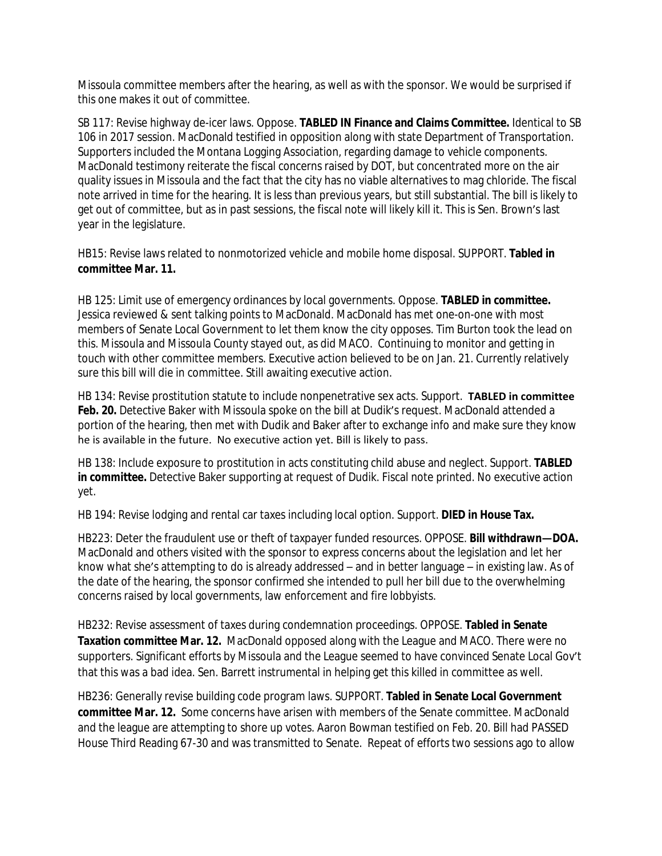Missoula committee members after the hearing, as well as with the sponsor. We would be surprised if this one makes it out of committee.

SB 117: Revise highway de-icer laws. Oppose. **TABLED IN Finance and Claims Committee.** Identical to SB 106 in 2017 session. MacDonald testified in opposition along with state Department of Transportation. Supporters included the Montana Logging Association, regarding damage to vehicle components. MacDonald testimony reiterate the fiscal concerns raised by DOT, but concentrated more on the air quality issues in Missoula and the fact that the city has no viable alternatives to mag chloride. The fiscal note arrived in time for the hearing. It is less than previous years, but still substantial. The bill is likely to get out of committee, but as in past sessions, the fiscal note will likely kill it. This is Sen. Brown's last year in the legislature.

HB15: Revise laws related to nonmotorized vehicle and mobile home disposal. SUPPORT. **Tabled in committee Mar. 11.**

HB 125: Limit use of emergency ordinances by local governments. Oppose. **TABLED in committee.** Jessica reviewed & sent talking points to MacDonald. MacDonald has met one-on-one with most members of Senate Local Government to let them know the city opposes. Tim Burton took the lead on this. Missoula and Missoula County stayed out, as did MACO. Continuing to monitor and getting in touch with other committee members. Executive action believed to be on Jan. 21. Currently relatively sure this bill will die in committee. Still awaiting executive action.

HB 134: Revise prostitution statute to include nonpenetrative sex acts. Support. **TABLED in committee**  Feb. 20. Detective Baker with Missoula spoke on the bill at Dudik's request. MacDonald attended a portion of the hearing, then met with Dudik and Baker after to exchange info and make sure they know he is available in the future. No executive action yet. Bill is likely to pass.

HB 138: Include exposure to prostitution in acts constituting child abuse and neglect. Support. **TABLED in committee.** Detective Baker supporting at request of Dudik. Fiscal note printed. No executive action yet.

HB 194: Revise lodging and rental car taxes including local option. Support. **DIED in House Tax.**

HB223: Deter the fraudulent use or theft of taxpayer funded resources. OPPOSE. **Bill withdrawn—DOA.**  MacDonald and others visited with the sponsor to express concerns about the legislation and let her know what she's attempting to do is already addressed – and in better language – in existing law. As of the date of the hearing, the sponsor confirmed she intended to pull her bill due to the overwhelming concerns raised by local governments, law enforcement and fire lobbyists.

HB232: Revise assessment of taxes during condemnation proceedings. OPPOSE. **Tabled in Senate Taxation committee Mar. 12.** MacDonald opposed along with the League and MACO. There were no supporters. Significant efforts by Missoula and the League seemed to have convinced Senate Local Gov't that this was a bad idea. Sen. Barrett instrumental in helping get this killed in committee as well.

HB236: Generally revise building code program laws. SUPPORT. **Tabled in Senate Local Government committee Mar. 12.** Some concerns have arisen with members of the Senate committee. MacDonald and the league are attempting to shore up votes. Aaron Bowman testified on Feb. 20. Bill had PASSED House Third Reading 67-30 and was transmitted to Senate. Repeat of efforts two sessions ago to allow